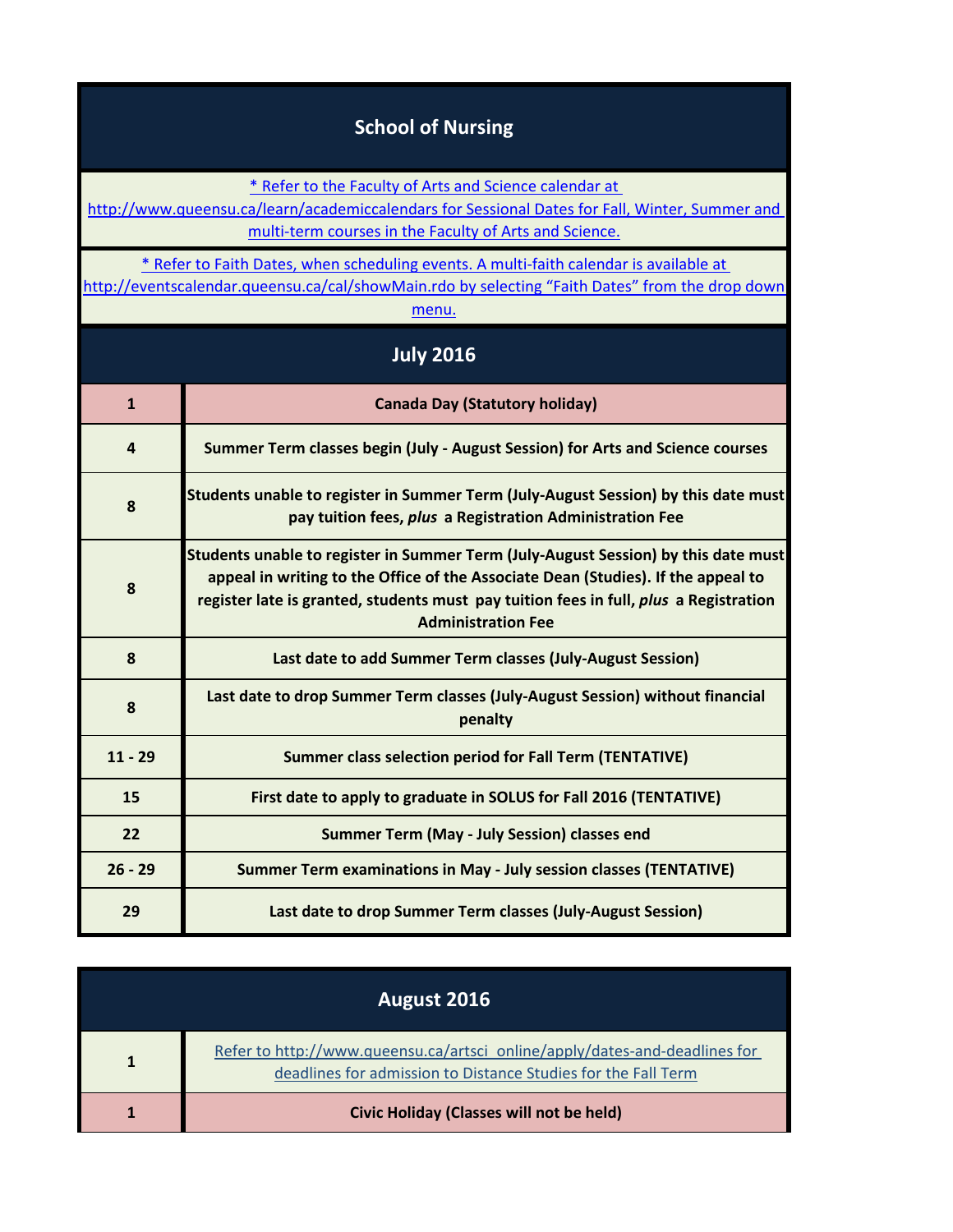## **School of Nursing**

[\\* Refer to the Faculty of Arts and Science calendar at](http://www.queensu.ca/learn/academiccalendars) 

[http://www.q](http://www.queensu.ca/learn/academiccalendars)ueensu.ca/learn/academiccalendars for Sessional Dates for Fall, Winter, Summer and multi-term courses in the Faculty of Arts and Science.

[\\* Refer to Faith Dates, when scheduling events. A multi-faith calendar is available at](http://eventscalendar.queensu.ca/cal/showMain.rdo) 

[http://eventsc](http://eventscalendar.queensu.ca/cal/showMain.rdo)alendar.queensu.ca/cal/showMain.rdo by selecting "Faith Dates" from the drop down [m](http://eventscalendar.queensu.ca/cal/showMain.rdo)enu.

| <b>July 2016</b> |                                                                                                                                                                                                                                                                                               |
|------------------|-----------------------------------------------------------------------------------------------------------------------------------------------------------------------------------------------------------------------------------------------------------------------------------------------|
| $\mathbf{1}$     | <b>Canada Day (Statutory holiday)</b>                                                                                                                                                                                                                                                         |
| 4                | Summer Term classes begin (July - August Session) for Arts and Science courses                                                                                                                                                                                                                |
| 8                | Students unable to register in Summer Term (July-August Session) by this date must<br>pay tuition fees, plus a Registration Administration Fee                                                                                                                                                |
| 8                | Students unable to register in Summer Term (July-August Session) by this date must<br>appeal in writing to the Office of the Associate Dean (Studies). If the appeal to<br>register late is granted, students must pay tuition fees in full, plus a Registration<br><b>Administration Fee</b> |
| 8                | Last date to add Summer Term classes (July-August Session)                                                                                                                                                                                                                                    |
| 8                | Last date to drop Summer Term classes (July-August Session) without financial<br>penalty                                                                                                                                                                                                      |
| $11 - 29$        | <b>Summer class selection period for Fall Term (TENTATIVE)</b>                                                                                                                                                                                                                                |
| 15               | First date to apply to graduate in SOLUS for Fall 2016 (TENTATIVE)                                                                                                                                                                                                                            |
| 22               | Summer Term (May - July Session) classes end                                                                                                                                                                                                                                                  |
| $26 - 29$        | <b>Summer Term examinations in May - July session classes (TENTATIVE)</b>                                                                                                                                                                                                                     |
| 29               | Last date to drop Summer Term classes (July-August Session)                                                                                                                                                                                                                                   |

| August 2016 |                                                                                                                                             |
|-------------|---------------------------------------------------------------------------------------------------------------------------------------------|
| 1           | Refer to http://www.queensu.ca/artsci_online/apply/dates-and-deadlines for<br>deadlines for admission to Distance Studies for the Fall Term |
|             | Civic Holiday (Classes will not be held)                                                                                                    |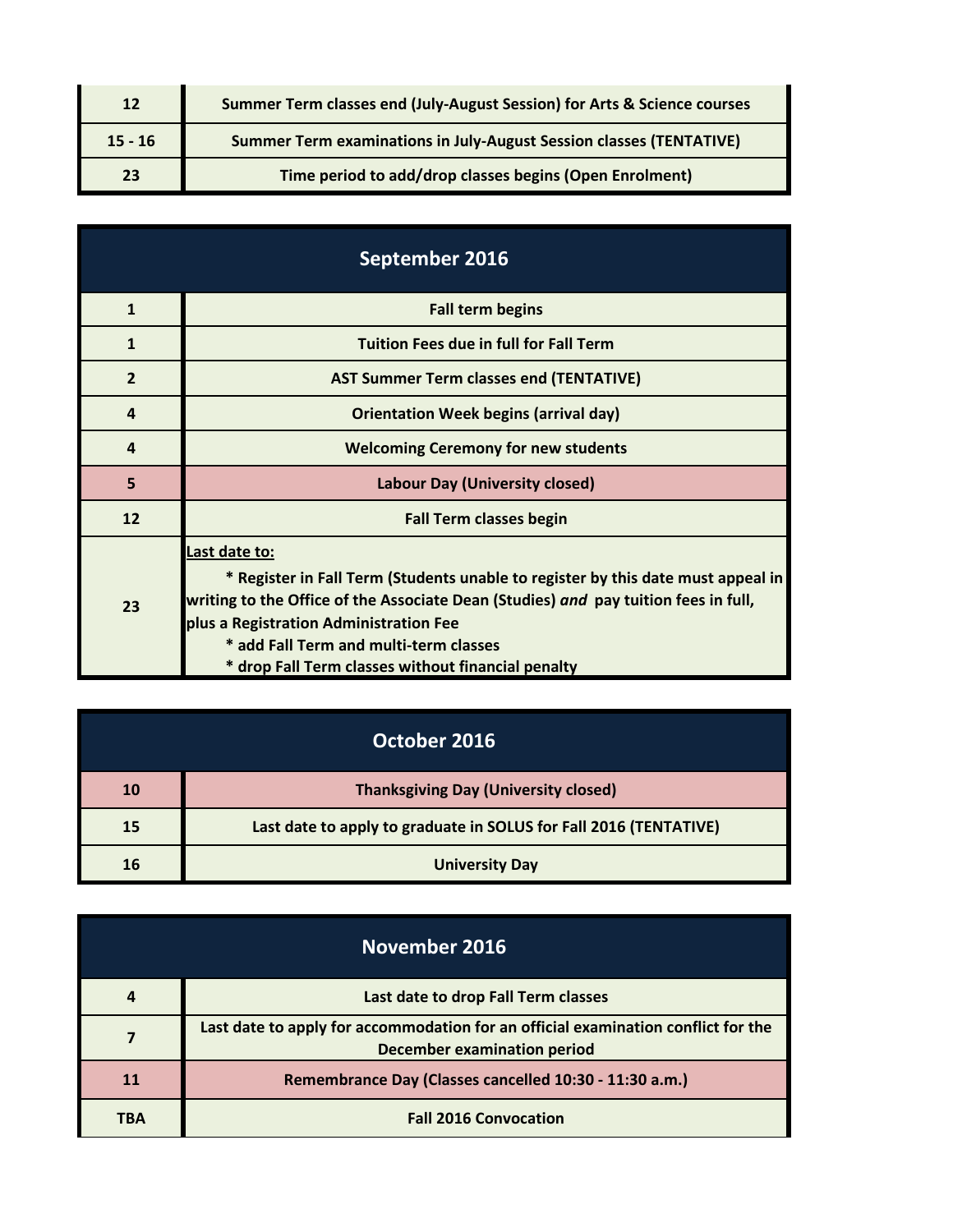| 12        | Summer Term classes end (July-August Session) for Arts & Science courses   |
|-----------|----------------------------------------------------------------------------|
| $15 - 16$ | <b>Summer Term examinations in July-August Session classes (TENTATIVE)</b> |
| 23        | Time period to add/drop classes begins (Open Enrolment)                    |

| September 2016 |                                                                                                                                                                                                                                                                                                                                    |
|----------------|------------------------------------------------------------------------------------------------------------------------------------------------------------------------------------------------------------------------------------------------------------------------------------------------------------------------------------|
| $\mathbf{1}$   | <b>Fall term begins</b>                                                                                                                                                                                                                                                                                                            |
| $\mathbf{1}$   | <b>Tuition Fees due in full for Fall Term</b>                                                                                                                                                                                                                                                                                      |
| $\overline{2}$ | <b>AST Summer Term classes end (TENTATIVE)</b>                                                                                                                                                                                                                                                                                     |
| $\overline{a}$ | <b>Orientation Week begins (arrival day)</b>                                                                                                                                                                                                                                                                                       |
| $\overline{a}$ | <b>Welcoming Ceremony for new students</b>                                                                                                                                                                                                                                                                                         |
| 5              | <b>Labour Day (University closed)</b>                                                                                                                                                                                                                                                                                              |
| 12             | <b>Fall Term classes begin</b>                                                                                                                                                                                                                                                                                                     |
| 23             | Last date to:<br>* Register in Fall Term (Students unable to register by this date must appeal in<br>writing to the Office of the Associate Dean (Studies) and pay tuition fees in full,<br>plus a Registration Administration Fee<br>* add Fall Term and multi-term classes<br>* drop Fall Term classes without financial penalty |

| October 2016 |                                                                   |
|--------------|-------------------------------------------------------------------|
| <b>10</b>    | <b>Thanksgiving Day (University closed)</b>                       |
| 15           | Last date to apply to graduate in SOLUS for Fall 2016 (TENTATIVE) |
| 16           | <b>University Day</b>                                             |

| November 2016 |                                                                                                                         |
|---------------|-------------------------------------------------------------------------------------------------------------------------|
|               | Last date to drop Fall Term classes                                                                                     |
|               | Last date to apply for accommodation for an official examination conflict for the<br><b>December examination period</b> |
| 11            | Remembrance Day (Classes cancelled 10:30 - 11:30 a.m.)                                                                  |
| TBA           | <b>Fall 2016 Convocation</b>                                                                                            |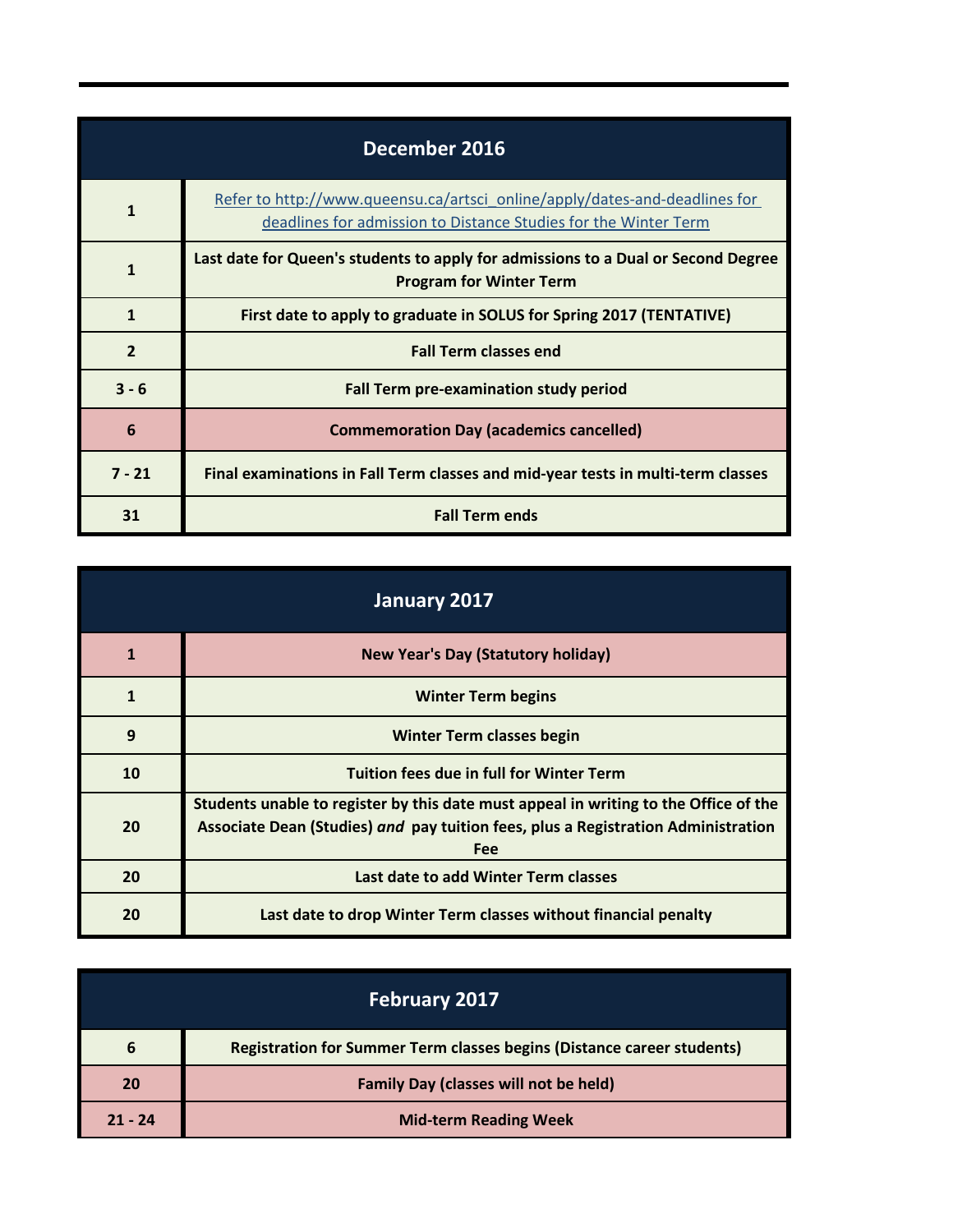| December 2016  |                                                                                                                                               |
|----------------|-----------------------------------------------------------------------------------------------------------------------------------------------|
| 1              | Refer to http://www.queensu.ca/artsci_online/apply/dates-and-deadlines for<br>deadlines for admission to Distance Studies for the Winter Term |
| 1              | Last date for Queen's students to apply for admissions to a Dual or Second Degree<br><b>Program for Winter Term</b>                           |
| $\mathbf{1}$   | First date to apply to graduate in SOLUS for Spring 2017 (TENTATIVE)                                                                          |
| $\overline{2}$ | <b>Fall Term classes end</b>                                                                                                                  |
| $3 - 6$        | Fall Term pre-examination study period                                                                                                        |
| 6              | <b>Commemoration Day (academics cancelled)</b>                                                                                                |
| $7 - 21$       | Final examinations in Fall Term classes and mid-year tests in multi-term classes                                                              |
| 31             | <b>Fall Term ends</b>                                                                                                                         |

| January 2017 |                                                                                                                                                                                  |
|--------------|----------------------------------------------------------------------------------------------------------------------------------------------------------------------------------|
|              | <b>New Year's Day (Statutory holiday)</b>                                                                                                                                        |
| 1            | <b>Winter Term begins</b>                                                                                                                                                        |
| 9            | <b>Winter Term classes begin</b>                                                                                                                                                 |
| 10           | <b>Tuition fees due in full for Winter Term</b>                                                                                                                                  |
| 20           | Students unable to register by this date must appeal in writing to the Office of the<br>Associate Dean (Studies) and pay tuition fees, plus a Registration Administration<br>Fee |
| 20           | Last date to add Winter Term classes                                                                                                                                             |
| 20           | Last date to drop Winter Term classes without financial penalty                                                                                                                  |

| <b>February 2017</b> |                                                                               |
|----------------------|-------------------------------------------------------------------------------|
| 6                    | <b>Registration for Summer Term classes begins (Distance career students)</b> |
| 20                   | <b>Family Day (classes will not be held)</b>                                  |
| $21 - 24$            | <b>Mid-term Reading Week</b>                                                  |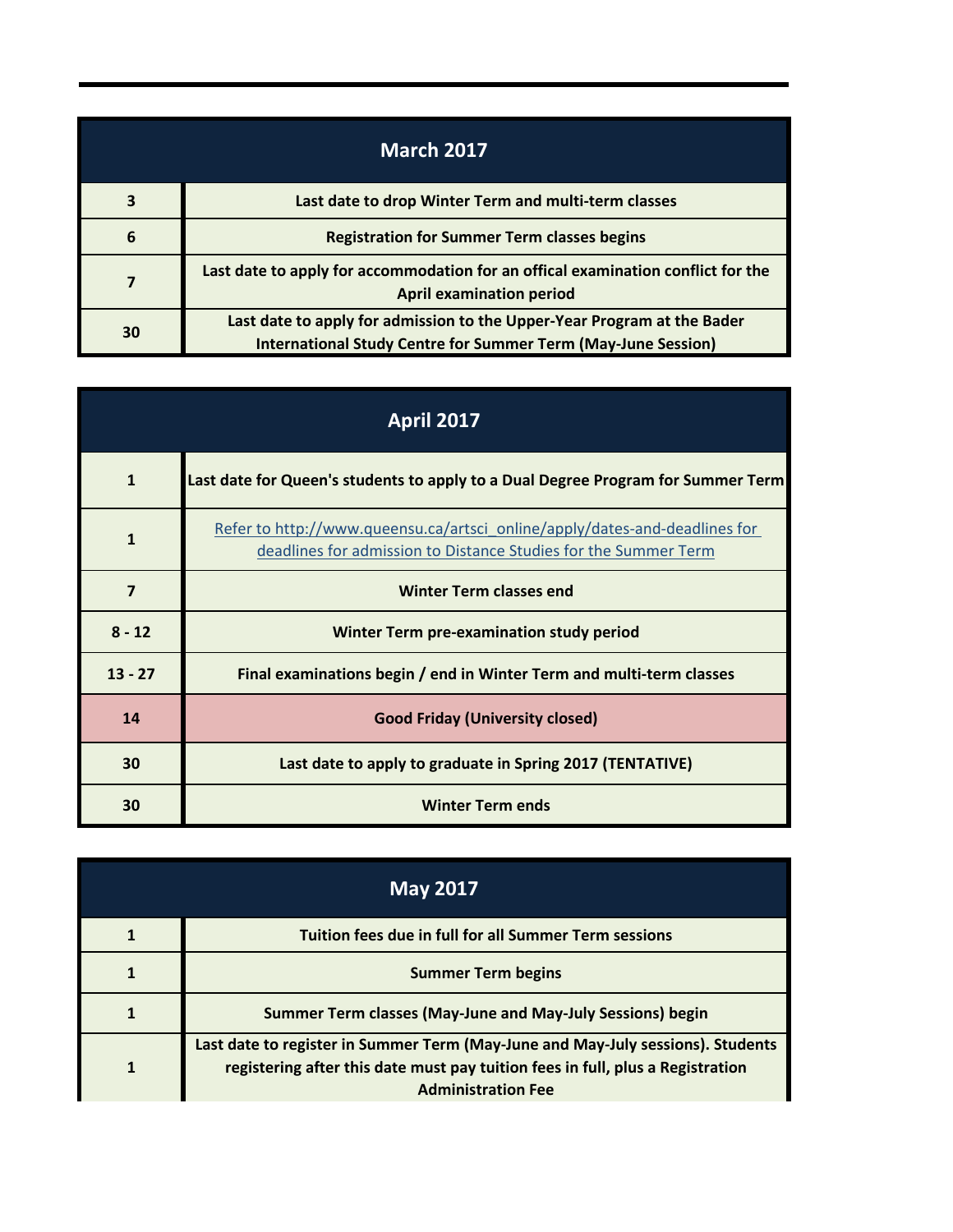| <b>March 2017</b> |                                                                                                                                                 |
|-------------------|-------------------------------------------------------------------------------------------------------------------------------------------------|
| 3                 | Last date to drop Winter Term and multi-term classes                                                                                            |
| 6                 | <b>Registration for Summer Term classes begins</b>                                                                                              |
| 7                 | Last date to apply for accommodation for an offical examination conflict for the<br><b>April examination period</b>                             |
| 30                | Last date to apply for admission to the Upper-Year Program at the Bader<br><b>International Study Centre for Summer Term (May-June Session)</b> |

| <b>April 2017</b> |                                                                                                                                               |
|-------------------|-----------------------------------------------------------------------------------------------------------------------------------------------|
| $\mathbf{1}$      | Last date for Queen's students to apply to a Dual Degree Program for Summer Term                                                              |
| $\mathbf{1}$      | Refer to http://www.queensu.ca/artsci_online/apply/dates-and-deadlines for<br>deadlines for admission to Distance Studies for the Summer Term |
| $\overline{7}$    | <b>Winter Term classes end</b>                                                                                                                |
| $8 - 12$          | <b>Winter Term pre-examination study period</b>                                                                                               |
| $13 - 27$         | Final examinations begin / end in Winter Term and multi-term classes                                                                          |
| 14                | <b>Good Friday (University closed)</b>                                                                                                        |
| 30                | Last date to apply to graduate in Spring 2017 (TENTATIVE)                                                                                     |
| 30                | <b>Winter Term ends</b>                                                                                                                       |

| <b>May 2017</b> |                                                                                                                                                                                                |
|-----------------|------------------------------------------------------------------------------------------------------------------------------------------------------------------------------------------------|
|                 | <b>Tuition fees due in full for all Summer Term sessions</b>                                                                                                                                   |
|                 | <b>Summer Term begins</b>                                                                                                                                                                      |
|                 | Summer Term classes (May-June and May-July Sessions) begin                                                                                                                                     |
|                 | Last date to register in Summer Term (May-June and May-July sessions). Students<br>registering after this date must pay tuition fees in full, plus a Registration<br><b>Administration Fee</b> |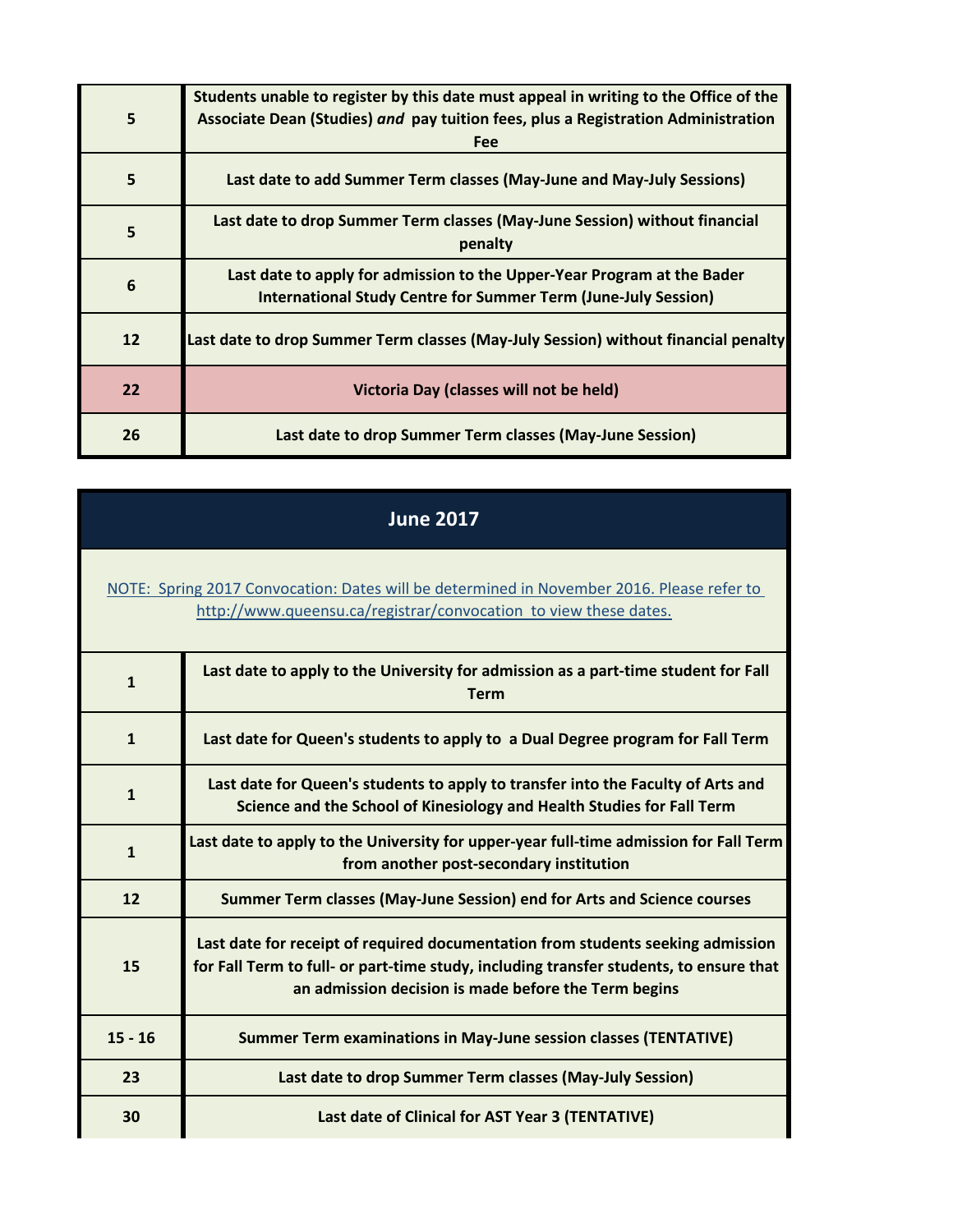| 5  | Students unable to register by this date must appeal in writing to the Office of the<br>Associate Dean (Studies) and pay tuition fees, plus a Registration Administration<br><b>Fee</b> |
|----|-----------------------------------------------------------------------------------------------------------------------------------------------------------------------------------------|
| 5  | Last date to add Summer Term classes (May-June and May-July Sessions)                                                                                                                   |
| 5  | Last date to drop Summer Term classes (May-June Session) without financial<br>penalty                                                                                                   |
| 6  | Last date to apply for admission to the Upper-Year Program at the Bader<br><b>International Study Centre for Summer Term (June-July Session)</b>                                        |
| 12 | Last date to drop Summer Term classes (May-July Session) without financial penalty                                                                                                      |
| 22 | Victoria Day (classes will not be held)                                                                                                                                                 |
| 26 | Last date to drop Summer Term classes (May-June Session)                                                                                                                                |

## **June 2017**

## [NOTE: Spring 2017 Convocation: Dates will be determined in November 2016. Please refer to](http://www.queensu.ca/registrar/convocation)  http://www.queensu.ca/registrar/convocation to view these dates.

| $\mathbf{1}$ | Last date to apply to the University for admission as a part-time student for Fall<br>Term                                                                                                                                        |
|--------------|-----------------------------------------------------------------------------------------------------------------------------------------------------------------------------------------------------------------------------------|
| $\mathbf{1}$ | Last date for Queen's students to apply to a Dual Degree program for Fall Term                                                                                                                                                    |
| $\mathbf{1}$ | Last date for Queen's students to apply to transfer into the Faculty of Arts and<br>Science and the School of Kinesiology and Health Studies for Fall Term                                                                        |
| $\mathbf{1}$ | Last date to apply to the University for upper-year full-time admission for Fall Term<br>from another post-secondary institution                                                                                                  |
| 12           | Summer Term classes (May-June Session) end for Arts and Science courses                                                                                                                                                           |
| 15           | Last date for receipt of required documentation from students seeking admission<br>for Fall Term to full- or part-time study, including transfer students, to ensure that<br>an admission decision is made before the Term begins |
| $15 - 16$    | <b>Summer Term examinations in May-June session classes (TENTATIVE)</b>                                                                                                                                                           |
| 23           | Last date to drop Summer Term classes (May-July Session)                                                                                                                                                                          |
| 30           | Last date of Clinical for AST Year 3 (TENTATIVE)                                                                                                                                                                                  |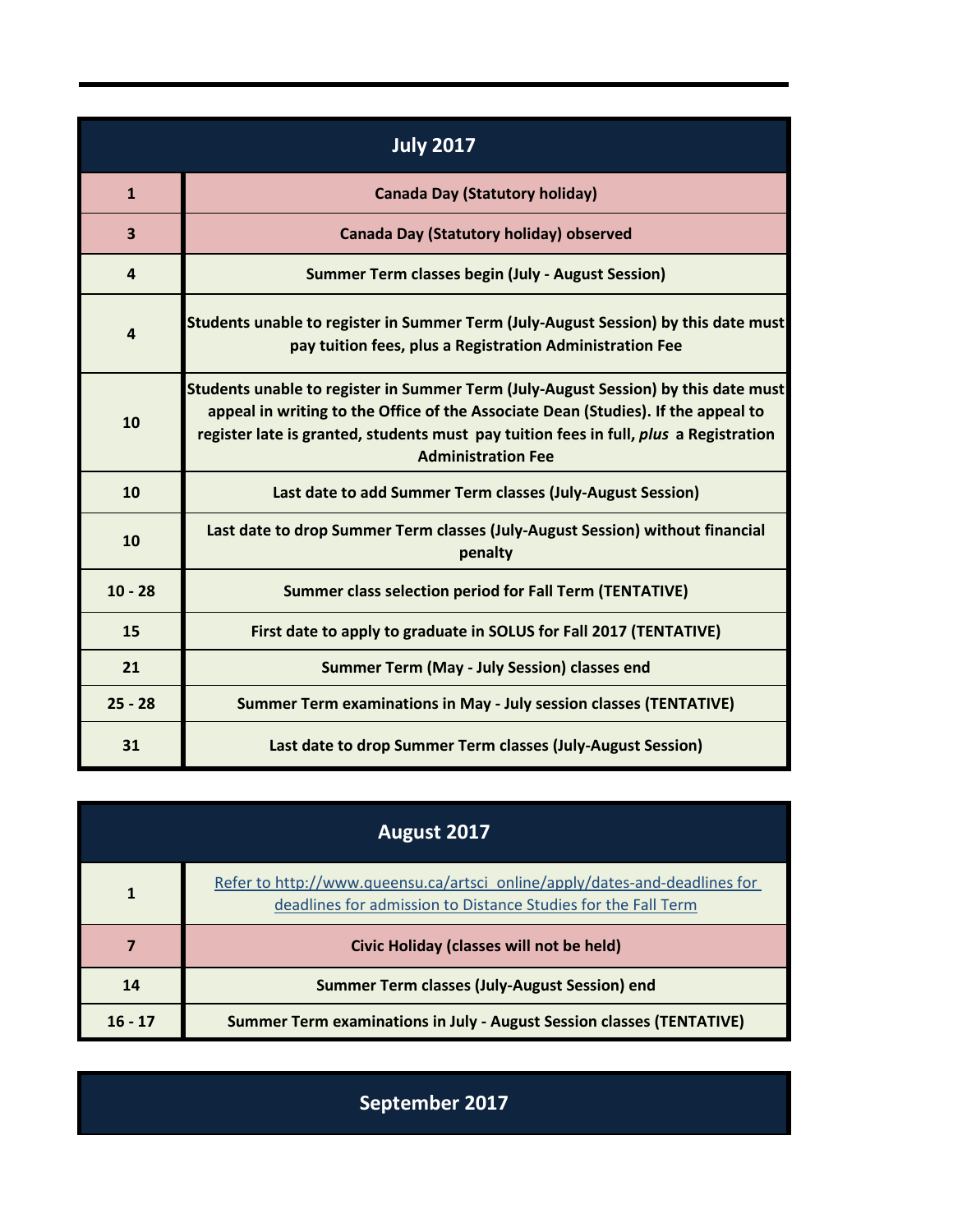| <b>July 2017</b>        |                                                                                                                                                                                                                                                                                               |  |
|-------------------------|-----------------------------------------------------------------------------------------------------------------------------------------------------------------------------------------------------------------------------------------------------------------------------------------------|--|
| $\mathbf{1}$            | <b>Canada Day (Statutory holiday)</b>                                                                                                                                                                                                                                                         |  |
| $\overline{\mathbf{3}}$ | Canada Day (Statutory holiday) observed                                                                                                                                                                                                                                                       |  |
| $\overline{4}$          | <b>Summer Term classes begin (July - August Session)</b>                                                                                                                                                                                                                                      |  |
| 4                       | Students unable to register in Summer Term (July-August Session) by this date must<br>pay tuition fees, plus a Registration Administration Fee                                                                                                                                                |  |
| 10                      | Students unable to register in Summer Term (July-August Session) by this date must<br>appeal in writing to the Office of the Associate Dean (Studies). If the appeal to<br>register late is granted, students must pay tuition fees in full, plus a Registration<br><b>Administration Fee</b> |  |
| 10                      | Last date to add Summer Term classes (July-August Session)                                                                                                                                                                                                                                    |  |
| 10                      | Last date to drop Summer Term classes (July-August Session) without financial<br>penalty                                                                                                                                                                                                      |  |
| $10 - 28$               | Summer class selection period for Fall Term (TENTATIVE)                                                                                                                                                                                                                                       |  |
| 15                      | First date to apply to graduate in SOLUS for Fall 2017 (TENTATIVE)                                                                                                                                                                                                                            |  |
| 21                      | Summer Term (May - July Session) classes end                                                                                                                                                                                                                                                  |  |
| $25 - 28$               | Summer Term examinations in May - July session classes (TENTATIVE)                                                                                                                                                                                                                            |  |
| 31                      | Last date to drop Summer Term classes (July-August Session)                                                                                                                                                                                                                                   |  |

| August 2017 |                                                                                                                                             |
|-------------|---------------------------------------------------------------------------------------------------------------------------------------------|
|             | Refer to http://www.queensu.ca/artsci_online/apply/dates-and-deadlines for<br>deadlines for admission to Distance Studies for the Fall Term |
|             | <b>Civic Holiday (classes will not be held)</b>                                                                                             |
| 14          | Summer Term classes (July-August Session) end                                                                                               |
| $16 - 17$   | <b>Summer Term examinations in July - August Session classes (TENTATIVE)</b>                                                                |

**September 2017**